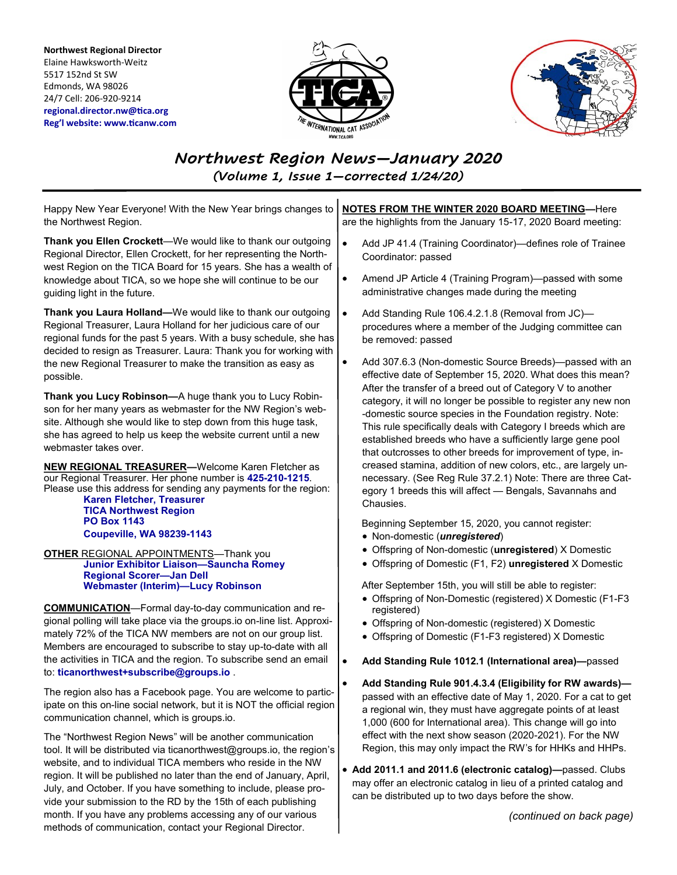**Northwest Regional Director** Elaine Hawksworth-Weitz 5517 152nd St SW Edmonds, WA 98026 24/7 Cell: 206-920-9214 **regional.director.nw@tica.org Reg'l website: www.ticanw.com**





# *Northwest Region News—January 2020 (Volume 1, Issue 1—corrected 1/24/20)*

Happy New Year Everyone! With the New Year brings changes to the Northwest Region.

**Thank you Ellen Crockett**—We would like to thank our outgoing Regional Director, Ellen Crockett, for her representing the Northwest Region on the TICA Board for 15 years. She has a wealth of knowledge about TICA, so we hope she will continue to be our guiding light in the future.

**Thank you Laura Holland—**We would like to thank our outgoing Regional Treasurer, Laura Holland for her judicious care of our regional funds for the past 5 years. With a busy schedule, she has decided to resign as Treasurer. Laura: Thank you for working with the new Regional Treasurer to make the transition as easy as possible.

**Thank you Lucy Robinson—**A huge thank you to Lucy Robinson for her many years as webmaster for the NW Region's website. Although she would like to step down from this huge task, she has agreed to help us keep the website current until a new webmaster takes over.

**NEW REGIONAL TREASURER—**Welcome Karen Fletcher as our Regional Treasurer. Her phone number is **425-210-1215**. Please use this address for sending any payments for the region:

**Karen Fletcher, Treasurer TICA Northwest Region PO Box 1143 Coupeville, WA 98239-1143**

**OTHER** REGIONAL APPOINTMENTS—Thank you **Junior Exhibitor Liaison—Sauncha Romey Regional Scorer—Jan Dell Webmaster (Interim)—Lucy Robinson**

**COMMUNICATION**—Formal day-to-day communication and regional polling will take place via the groups.io on-line list. Approximately 72% of the TICA NW members are not on our group list. Members are encouraged to subscribe to stay up-to-date with all the activities in TICA and the region. To subscribe send an email to: **ticanorthwest+subscribe@groups.io** .

The region also has a Facebook page. You are welcome to participate on this on-line social network, but it is NOT the official region communication channel, which is groups.io.

The "Northwest Region News" will be another communication tool. It will be distributed via ticanorthwest@groups.io, the region's website, and to individual TICA members who reside in the NW region. It will be published no later than the end of January, April, July, and October. If you have something to include, please provide your submission to the RD by the 15th of each publishing month. If you have any problems accessing any of our various methods of communication, contact your Regional Director.

**NOTES FROM THE WINTER 2020 BOARD MEETING—**Here are the highlights from the January 15-17, 2020 Board meeting:

- Add JP 41.4 (Training Coordinator)—defines role of Trainee Coordinator: passed
- Amend JP Article 4 (Training Program)—passed with some administrative changes made during the meeting
- Add Standing Rule 106.4.2.1.8 (Removal from JC)procedures where a member of the Judging committee can be removed: passed
- Add 307.6.3 (Non-domestic Source Breeds)—passed with an effective date of September 15, 2020. What does this mean? After the transfer of a breed out of Category V to another category, it will no longer be possible to register any new non -domestic source species in the Foundation registry. Note: This rule specifically deals with Category I breeds which are established breeds who have a sufficiently large gene pool that outcrosses to other breeds for improvement of type, increased stamina, addition of new colors, etc., are largely unnecessary. (See Reg Rule 37.2.1) Note: There are three Category 1 breeds this will affect — Bengals, Savannahs and Chausies.

Beginning September 15, 2020, you cannot register:

- Non-domestic (*unregistered*)
- Offspring of Non-domestic (**unregistered**) X Domestic
- Offspring of Domestic (F1, F2) **unregistered** X Domestic

After September 15th, you will still be able to register:

- Offspring of Non-Domestic (registered) X Domestic (F1-F3 registered)
- Offspring of Non-domestic (registered) X Domestic
- Offspring of Domestic (F1-F3 registered) X Domestic
- **Add Standing Rule 1012.1 (International area)—**passed
	- **Add Standing Rule 901.4.3.4 (Eligibility for RW awards)** passed with an effective date of May 1, 2020. For a cat to get a regional win, they must have aggregate points of at least 1,000 (600 for International area). This change will go into effect with the next show season (2020-2021). For the NW Region, this may only impact the RW's for HHKs and HHPs.
- **Add 2011.1 and 2011.6 (electronic catalog)—**passed. Clubs may offer an electronic catalog in lieu of a printed catalog and can be distributed up to two days before the show.

*(continued on back page)*